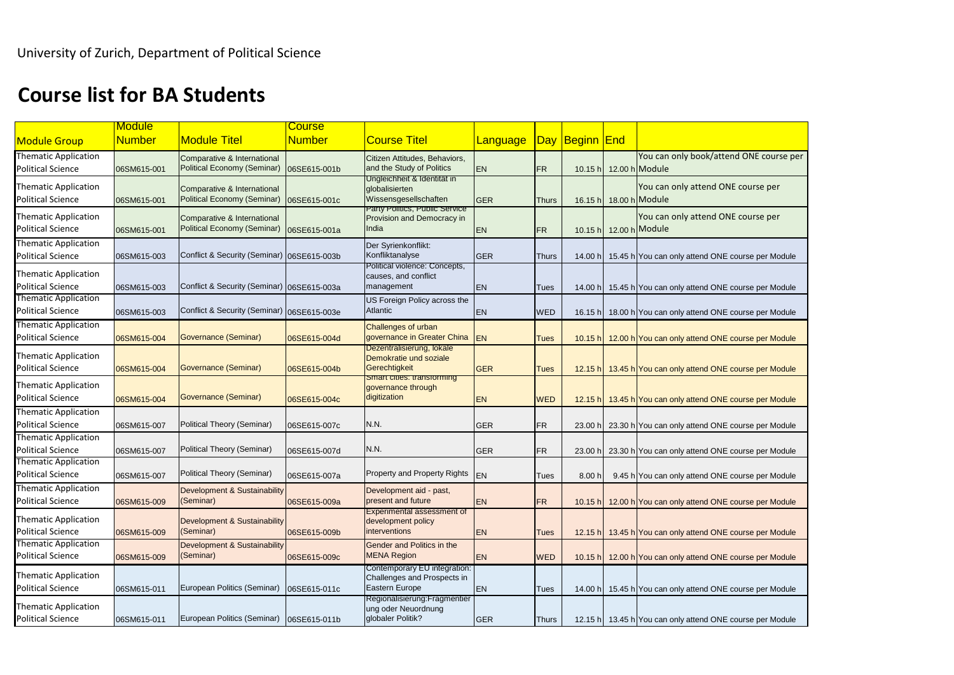## **Course list for BA Students**

|                                                         | <b>Module</b> |                                            | <b>Course</b> |                                                              |            |              |                |                                                           |
|---------------------------------------------------------|---------------|--------------------------------------------|---------------|--------------------------------------------------------------|------------|--------------|----------------|-----------------------------------------------------------|
| <b>Module Group</b>                                     | <b>Number</b> | <b>Module Titel</b>                        | <b>Number</b> | <b>Course Titel</b>                                          | Language   |              | Day Beginn End |                                                           |
| <b>Thematic Application</b>                             |               | Comparative & International                |               | Citizen Attitudes, Behaviors,                                |            |              |                | You can only book/attend ONE course p                     |
| <b>Political Science</b>                                | 06SM615-001   | <b>Political Economy (Seminar)</b>         | 06SE615-001b  | and the Study of Politics                                    | <b>EN</b>  | <b>FR</b>    |                | 10.15 h 12.00 h Module                                    |
| <b>Thematic Application</b>                             |               | Comparative & International                |               | Ungleichheit & Identität in<br>globalisierten                |            |              |                | You can only attend ONE course per                        |
| <b>Political Science</b>                                | 06SM615-001   | <b>Political Economy (Seminar)</b>         | 06SE615-001c  | Wissensgesellschaften                                        | <b>GER</b> | <b>Thurs</b> | 16.15 h        | 18.00 h Module                                            |
| <b>Thematic Application</b>                             |               | Comparative & International                |               | Party Politics, Public Service<br>Provision and Democracy in |            |              |                | You can only attend ONE course per                        |
| <b>Political Science</b>                                | 06SM615-001   | Political Economy (Seminar)                | 06SE615-001a  | <b>India</b>                                                 | <b>EN</b>  | <b>FR</b>    | 10.15 h        | 12.00 h Module                                            |
| <b>Thematic Application</b>                             |               |                                            |               | Der Syrienkonflikt:                                          |            |              |                |                                                           |
| <b>Political Science</b>                                | 06SM615-003   | Conflict & Security (Seminar) 06SE615-003b |               | Konfliktanalyse                                              | GER        | <b>Thurs</b> | 14.00 h        | 15.45 h You can only attend ONE course per Module         |
| <b>Thematic Application</b>                             |               |                                            |               | Political violence: Concepts,<br>causes, and conflict        |            |              |                |                                                           |
| <b>Political Science</b>                                | 06SM615-003   | Conflict & Security (Seminar) 06SE615-003a |               | management                                                   | <b>EN</b>  | Tues         | 14.00 h        | 15.45 h You can only attend ONE course per Module         |
| <b>Thematic Application</b>                             |               |                                            |               | US Foreign Policy across the                                 |            |              |                |                                                           |
| <b>Political Science</b>                                | 06SM615-003   | Conflict & Security (Seminar) 06SE615-003e |               | Atlantic                                                     | <b>EN</b>  | <b>WED</b>   | 16.15 h        | 18.00 h You can only attend ONE course per Module         |
| <b>Thematic Application</b>                             |               |                                            |               | <b>Challenges of urban</b>                                   |            |              |                |                                                           |
| <b>Political Science</b>                                | 06SM615-004   | <b>Governance (Seminar)</b>                | 06SE615-004d  | governance in Greater China<br>Dezentralisierung, lokale     | <b>EN</b>  | <b>Tues</b>  |                | 10.15 h 12.00 h You can only attend ONE course per Module |
| <b>Thematic Application</b>                             |               |                                            |               | Demokratie und soziale                                       |            |              |                |                                                           |
| <b>Political Science</b>                                | 06SM615-004   | Governance (Seminar)                       | 06SE615-004b  | Gerechtigkeit                                                | GER        | <b>Tues</b>  |                | 12.15 h 13.45 h You can only attend ONE course per Module |
| <b>Thematic Application</b>                             |               |                                            |               | Smart cities: transforming<br>governance through             |            |              |                |                                                           |
| <b>Political Science</b>                                | 06SM615-004   | <b>Governance (Seminar)</b>                | 06SE615-004c  | digitization                                                 | <b>EN</b>  | <b>WED</b>   |                | 12.15 h 13.45 h You can only attend ONE course per Module |
| <b>Thematic Application</b>                             |               |                                            |               |                                                              |            |              |                |                                                           |
| <b>Political Science</b>                                | 06SM615-007   | <b>Political Theory (Seminar)</b>          | 06SE615-007c  | N.N.                                                         | <b>GER</b> | <b>FR</b>    | 23.00 h        | 23.30 h You can only attend ONE course per Module         |
| <b>Thematic Application</b>                             |               |                                            |               |                                                              |            |              |                |                                                           |
| <b>Political Science</b><br><b>Thematic Application</b> | 06SM615-007   | Political Theory (Seminar)                 | 06SE615-007d  | N.N.                                                         | <b>GER</b> | <b>FR</b>    | 23.00 h        | 23.30 h You can only attend ONE course per Module         |
| <b>Political Science</b>                                | 06SM615-007   | Political Theory (Seminar)                 | 06SE615-007a  | <b>Property and Property Rights</b>                          | <b>IEN</b> | Tues         | 8.00 h         | 9.45 h You can only attend ONE course per Module          |
| Thematic Application                                    |               | Development & Sustainability               |               | Development aid - past,                                      |            |              |                |                                                           |
| <b>Political Science</b>                                | 06SM615-009   | (Seminar)                                  | 06SE615-009a  | present and future                                           | <b>EN</b>  | <b>FR</b>    |                | 10.15 h 12.00 h You can only attend ONE course per Module |
| <b>Thematic Application</b>                             |               |                                            |               | <b>Experimental assessment of</b>                            |            |              |                |                                                           |
| <b>Political Science</b>                                | 06SM615-009   | Development & Sustainability<br>(Seminar)  | 06SE615-009b  | development policy<br>interventions                          | <b>EN</b>  | <b>Tues</b>  |                | 12.15 h 13.45 h You can only attend ONE course per Module |
| <b>Thematic Application</b>                             |               | <b>Development &amp; Sustainability</b>    |               | <b>Gender and Politics in the</b>                            |            |              |                |                                                           |
| <b>Political Science</b>                                | 06SM615-009   | (Seminar)                                  | 06SE615-009c  | <b>MENA Region</b>                                           | <b>EN</b>  | <b>WED</b>   |                | 10.15 h 12.00 h You can only attend ONE course per Module |
| Thematic Application                                    |               |                                            |               | Contemporary EU integration:                                 |            |              |                |                                                           |
| <b>Political Science</b>                                | 06SM615-011   | European Politics (Seminar)                | 06SE615-011c  | Challenges and Prospects in<br>Eastern Europe                | <b>EN</b>  | <b>Tues</b>  | 14.00 $h$      | 15.45 h You can only attend ONE course per Module         |
|                                                         |               |                                            |               | Regionalisierung: Fragmentier                                |            |              |                |                                                           |
| <b>Thematic Application</b>                             |               | European Politics (Seminar)                |               | ung oder Neuordnung<br>globaler Politik?                     |            |              |                |                                                           |
| <b>Political Science</b>                                | 06SM615-011   |                                            | 06SE615-011b  |                                                              | GER        | <b>Thurs</b> |                | 12.15 h 13.45 h You can only attend ONE course per Module |

**The COUTE COUTSE CONC** 

**E** course per Module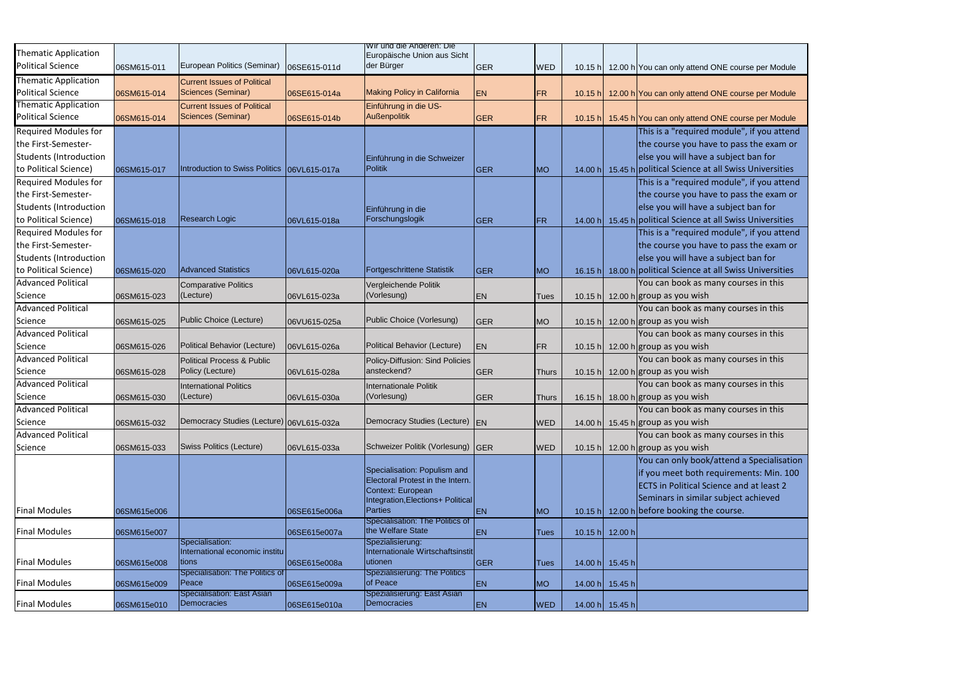|                               |             |                                                   |              | vvir und die Anderen: Die                              |             |              |         |                 |                                                     |
|-------------------------------|-------------|---------------------------------------------------|--------------|--------------------------------------------------------|-------------|--------------|---------|-----------------|-----------------------------------------------------|
| <b>Thematic Application</b>   |             |                                                   |              | Europäische Union aus Sicht                            |             |              |         |                 |                                                     |
| Political Science             | 06SM615-011 | European Politics (Seminar)                       | 06SE615-011d | der Bürger                                             | GER         | <b>WED</b>   | 10.15 h |                 | 12.00 h You can only attend ONE course per Module   |
| Thematic Application          |             | <b>Current Issues of Political</b>                |              |                                                        |             |              |         |                 |                                                     |
| <b>Political Science</b>      | 06SM615-014 | Sciences (Seminar)                                | 06SE615-014a | <b>Making Policy in California</b>                     | <b>EN</b>   | FR.          | 10.15 h |                 | 12.00 h You can only attend ONE course per Module   |
| Thematic Application          |             | <b>Current Issues of Political</b>                |              | Einführung in die US-                                  |             |              |         |                 |                                                     |
| <b>Political Science</b>      | 06SM615-014 | Sciences (Seminar)                                | 06SE615-014b | <b>Außenpolitik</b>                                    | <b>GER</b>  | FR           | 10.15 h |                 | 15.45 h You can only attend ONE course per Module   |
| <b>Required Modules for</b>   |             |                                                   |              |                                                        |             |              |         |                 | This is a "required module", if you attend          |
| the First-Semester-           |             |                                                   |              |                                                        |             |              |         |                 | the course you have to pass the exam or             |
| <b>Students (Introduction</b> |             |                                                   |              | Einführung in die Schweizer                            |             |              |         |                 | else you will have a subject ban for                |
| to Political Science)         | 06SM615-017 | Introduction to Swiss Politics                    | 06VL615-017a | Politik                                                | <b>GER</b>  | <b>MO</b>    | 14.00 h |                 | 15.45 h political Science at all Swiss Universities |
| <b>Required Modules for</b>   |             |                                                   |              |                                                        |             |              |         |                 | This is a "required module", if you attend          |
| the First-Semester-           |             |                                                   |              |                                                        |             |              |         |                 | the course you have to pass the exam or             |
| <b>Students (Introduction</b> |             |                                                   |              | Einführung in die                                      |             |              |         |                 | else you will have a subject ban for                |
| to Political Science)         | 06SM615-018 | <b>Research Logic</b>                             | 06VL615-018a | Forschungslogik                                        | <b>GER</b>  | <b>FR</b>    | 14.00 h |                 | 15.45 h political Science at all Swiss Universities |
| <b>Required Modules for</b>   |             |                                                   |              |                                                        |             |              |         |                 | This is a "required module", if you attend          |
| the First-Semester-           |             |                                                   |              |                                                        |             |              |         |                 | the course you have to pass the exam or             |
| Students (Introduction        |             |                                                   |              |                                                        |             |              |         |                 | else you will have a subject ban for                |
| to Political Science)         | 06SM615-020 | <b>Advanced Statistics</b>                        | 06VL615-020a | Fortgeschrittene Statistik                             | <b>IGER</b> | <b>MO</b>    | 16.15 h |                 | 18.00 h political Science at all Swiss Universities |
| <b>Advanced Political</b>     |             | Comparative Politics                              |              | Vergleichende Politik                                  |             |              |         |                 | You can book as many courses in this                |
| Science                       | 06SM615-023 | $(\text{Lecture})$                                | 06VL615-023a | (Vorlesung)                                            | <b>EN</b>   | Tues         | 10.15 h |                 | 12.00 h group as you wish                           |
| <b>Advanced Political</b>     |             |                                                   |              |                                                        |             |              |         |                 | You can book as many courses in this                |
| Science                       | 06SM615-025 | Public Choice (Lecture)                           | 06VU615-025a | Public Choice (Vorlesung)                              | <b>GER</b>  | <b>MO</b>    | 10.15 h |                 | 12.00 h group as you wish                           |
| <b>Advanced Political</b>     |             |                                                   |              |                                                        |             |              |         |                 | You can book as many courses in this                |
| Science                       | 06SM615-026 | Political Behavior (Lecture)                      | 06VL615-026a | Political Behavior (Lecture)                           | <b>EN</b>   | FR           | 10.15 h |                 | 12.00 h group as you wish                           |
| <b>Advanced Political</b>     |             | Political Process & Public                        |              | Policy-Diffusion: Sind Policies                        |             |              |         |                 | You can book as many courses in this                |
| Science                       | 06SM615-028 | Policy (Lecture)                                  | 06VL615-028a | ansteckend?                                            | <b>GER</b>  | <b>Thurs</b> | 10.15 h |                 | 12.00 h group as you wish                           |
| <b>Advanced Political</b>     |             | <b>International Politics</b>                     |              | Internationale Politik                                 |             |              |         |                 | You can book as many courses in this                |
| Science                       | 06SM615-030 | $ $ (Lecture)                                     | 06VL615-030a | (Vorlesung)                                            | <b>GER</b>  | <b>Thurs</b> |         |                 | 16.15 h 18.00 h group as you wish                   |
| <b>Advanced Political</b>     |             |                                                   |              |                                                        |             |              |         |                 | You can book as many courses in this                |
| Science                       | 06SM615-032 | Democracy Studies (Lecture) 06VL615-032a          |              | Democracy Studies (Lecture) EN                         |             | <b>WED</b>   | 14.00 h |                 | 15.45 h group as you wish                           |
| <b>Advanced Political</b>     |             |                                                   |              |                                                        |             |              |         |                 | You can book as many courses in this                |
| Science                       | 06SM615-033 | Swiss Politics (Lecture)                          | 06VL615-033a | Schweizer Politik (Vorlesung) GER                      |             | <b>WED</b>   | 10.15 h |                 | 12.00 h group as you wish                           |
|                               |             |                                                   |              |                                                        |             |              |         |                 | You can only book/attend a Specialisation           |
|                               |             |                                                   |              | Specialisation: Populism and                           |             |              |         |                 | if you meet both requirements: Min. 100             |
|                               |             |                                                   |              | Electoral Protest in the Intern.                       |             |              |         |                 | <b>ECTS</b> in Political Science and at least 2     |
|                               |             |                                                   |              | Context: European<br>Integration, Elections+ Political |             |              |         |                 | Seminars in similar subject achieved                |
| <b>Final Modules</b>          | 06SM615e006 |                                                   | 06SE615e006a | Parties                                                | <b>EN</b>   | <b>MO</b>    | 10.15 h |                 | 12.00 h before booking the course.                  |
|                               |             |                                                   |              | Specialisation: The Politics of                        |             |              |         |                 |                                                     |
| <b>Final Modules</b>          | 06SM615e007 |                                                   | 06SE615e007a | the Welfare State                                      | <b>EN</b>   | <b>Tues</b>  | 10.15 h | 12.00 h         |                                                     |
|                               |             | Specialisation:<br>International economic institu |              | Spezialisierung:<br>Internationale Wirtschaftsinstit   |             |              |         |                 |                                                     |
| <b>Final Modules</b>          | 06SM615e008 | tions                                             | 06SE615e008a | utionen                                                | <b>GER</b>  | <b>Tues</b>  | 14.00 h | 15.45 h         |                                                     |
|                               |             | Specialisation: The Politics of                   |              | Spezialisierung: The Politics                          |             |              |         |                 |                                                     |
| <b>Final Modules</b>          | 06SM615e009 | Peace                                             | 06SE615e009a | of Peace                                               | <b>EN</b>   | <b>MO</b>    | 14.00 h | 15.45 h         |                                                     |
| <b>Final Modules</b>          | 06SM615e010 | Specialisation: East Asian<br>Democracies         | 06SE615e010a | Spezialisierung: East Asian<br>Democracies             | <b>EN</b>   | <b>WED</b>   |         | 14.00 h 15.45 h |                                                     |